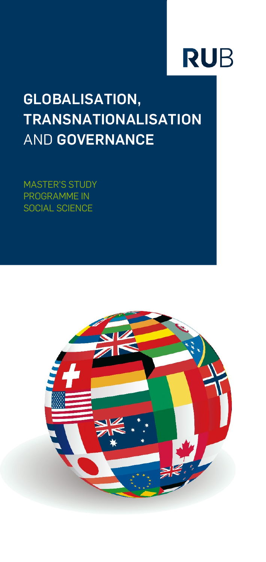# **RUB**

# **GLOBALISATION, TRANSNATIONALISATION** AND **GOVERNANCE**

MASTER'S STUDY PROGRAMME IN SOCIAL SCIENCE

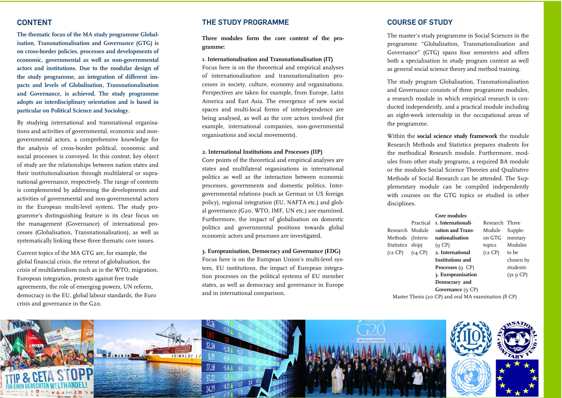## **CONTENT**

**The thematic focus of the MA study programme Globalisation, Transnationalisation and Governance (GTG) is on cross-border policies, processes and developments of economic, governmental as well as non-governmental actors and institutions. Due to the modular design of the study programme, an integration of different impacts and levels of Globalisation, Transnationalisation and Governance, is achieved. The study programme adopts an interdisciplinary orientation and is based in particular on Political Science and Sociology.**

By studying international and transnational organisations and activities of governmental, economic and nongovernmental actors, a comprehensive knowledge for the analysis of cross-border political, economic and social processes is conveyed. In this context, key object of study are the relationships between nation states and their institutionalisation through multilateral or supranational governance, respectively. The range of contents is complemented by addressing the developments and activities of governmental and non-governmental actors in the European multi-level system. The study programme's distinguishing feature is its clear focus on the management (Governance) of international processes (Globalisation, Transnationalisation), as well as systematically linking these three thematic core issues.

Current topics of the MA GTG are, for example, the global financial crisis, the retreat of globalisation, the crisis of multilateralism such as in the WTO, migration, European integration, protests against free trade agreements, the role of emerging powers, UN reform, democracy in the EU, global labour standards, the Euro crisis and governance in the G20.

#### **THE STUDY PROGRAMME**

**Three modules form the core content of the programme:**

**1. Internationalisation and Transnationalisation (IT)** Focus here is on the theoretical and empirical analyses of internationalisation and transnationalisation processes in society, culture, economy and organisations. Perspectives are taken for example, from Europe, Latin America and East Asia. The emergence of new social spaces and multi-local forms of interdependence are being analysed, as well as the core actors involved (for example, international companies, non-governmental organisations and social movements).

#### **2. International Institutions and Processes (IIP)**

Core points of the theoretical and empirical analyses are states and multilateral organisations in international politics as well as the interaction between economic processes, governments and domestic politics. Intergovernmental relations (such as German or US foreign policy), regional integration (EU, NAFTA etc.) and global governance (G20, WTO, IMF, UN etc.) are examined. Furthermore, the impact of globalisation on domestic politics and governmental positions towards global economic actors and processes are investigated.

#### **3. Europeanisation, Democracy and Governance (EDG)**

Focus here is on the European Union's multi-level system, EU institutions, the impact of European integration processes on the political systems of EU member states, as well as democracy and governance in Europe and in international comparison.

### **COURSE OF STUDY**

The master's study programme in Social Sciences in the programme "Globalisation, Transnationalisation and Governance" (GTG) spans four semesters and offers both a specialisation in study program content as well as general social science theory and method training.

The study program Globalisation, Transnationalisation and Governance consists of three programme modules, a research module in which empirical research is conducted independently, and a practical module including an eight-week internship in the occupational areas of the programme.

Within the **social science study framework** the module Research Methods and Statistics prepares students for the methodical Research module. Furthermore, modules from other study programs, a required BA module or the modules Social Science Theories and Qualitative Methods of Social Research can be attended. The Supplementary module can be compiled independently with courses on the GTG topics or studied in other disciplines.

#### **Core modules**

|                                                      | Practical | L. Internationali-             | Research Three |                 |
|------------------------------------------------------|-----------|--------------------------------|----------------|-----------------|
| Research Module                                      |           | sation and Trans-              | Module         | Supple-         |
| Methods (Intern-                                     |           | nationalisation                | on GTG         | mentary         |
| Statistics ship)                                     |           | (Q CP)                         | topics         | Modules         |
| $(I2 CP)$ $(I4 CP)$                                  |           | 2. International               | (I2 CP)        | to be           |
|                                                      |           | Institutions and               |                | chosen by       |
|                                                      |           | <b>Processes</b> ( $\circ$ CP) |                | students        |
|                                                      |           | 3. Europeanisation             |                | $(3x \circ CP)$ |
|                                                      |           | Democracy and                  |                |                 |
|                                                      |           | Governance $(9 CP)$            |                |                 |
| Master Thesis (20 CP) and oral MA examination (8 CP) |           |                                |                |                 |